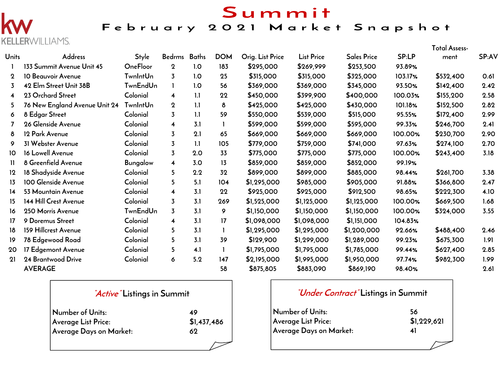## Summit



 $\Gamma$ 

#### February 2021 Market Snapshot

| Units          | ▙▙▙▙▌∖Ѷ▓▐▙▙▎░▏▏▏▎ <del>▁</del><br>Address | <b>Style</b>    | Bedrms Baths            |     | <b>DOM</b> | Orig. List Price | <b>List Price</b> | <b>Sales Price</b> | SP:LP   | <b>Total Assess-</b><br>ment | SP:AV |
|----------------|-------------------------------------------|-----------------|-------------------------|-----|------------|------------------|-------------------|--------------------|---------|------------------------------|-------|
|                | 133 Summit Avenue Unit 45                 | OneFloor        | $\mathbf 2$             | 1.0 | 183        | \$295,000        | \$269,999         | \$253,500          | 93.89%  |                              |       |
| $\mathbf 2$    | 10 Beauvoir Avenue                        | <b>TwnIntUn</b> | $\overline{3}$          | 1.0 | 25         | \$315,000        | \$315,000         | \$325,000          | 103.17% | \$532,400                    | 0.61  |
| 3              | 42 Elm Street Unit 38B                    | <b>TwnEndUn</b> |                         | 1.0 | 56         | \$369,000        | \$369,000         | \$345,000          | 93.50%  | \$142,400                    | 2.42  |
| $\overline{4}$ | 23 Orchard Street                         | Colonial        | $\overline{\mathbf{4}}$ | 1.1 | 22         | \$450,000        | \$399,900         | \$400,000          | 100.03% | \$155,200                    | 2.58  |
| 5.             | 76 New England Avenue Unit 24             | TwnIntUn        | $\mathbf 2$             | 1.1 | 8          | \$425,000        | \$425,000         | \$430,000          | 101.18% | \$152,500                    | 2.82  |
| 6              | 8 Edgar Street                            | Colonial        | $\overline{3}$          | 1.1 | 59         | \$550,000        | \$539,000         | \$515,000          | 95.55%  | \$172,400                    | 2.99  |
|                | 26 Glenside Avenue                        | Colonial        | $\overline{\mathbf{4}}$ | 3.1 |            | \$599,000        | \$599,000         | \$595,000          | 99.33%  | \$246,700                    | 2.41  |
| 8              | 12 Park Avenue                            | Colonial        | $\overline{3}$          | 2.1 | 65         | \$669,000        | \$669,000         | \$669,000          | 100.00% | \$230,700                    | 2.90  |
| 9              | 31 Webster Avenue                         | Colonial        | 3                       | 1.1 | 105        | \$779,000        | \$759,000         | \$741,000          | 97.63%  | \$274,100                    | 2.70  |
| 10             | 16 Lowell Avenue                          | Colonial        | $\overline{3}$          | 2.0 | 33         | \$775,000        | \$775,000         | \$775,000          | 100.00% | \$243,400                    | 3.18  |
| $\mathbf{H}$   | 8 Greenfield Avenue                       | Bungalow        | $\overline{\mathbf{4}}$ | 3.0 | 13         | \$859,000        | \$859,000         | \$852,000          | 99.19%  |                              |       |
| 12             | 18 Shadyside Avenue                       | Colonial        | 5                       | 2.2 | 32         | \$899,000        | \$899,000         | \$885,000          | 98.44%  | \$261,700                    | 3.38  |
| 13             | 100 Glenside Avenue                       | Colonial        | 5                       | 5.1 | 104        | \$1,295,000      | \$985,000         | \$905,000          | 91.88%  | \$366,800                    | 2.47  |
| 14             | 53 Mountain Avenue                        | Colonial        | $\overline{\mathbf{4}}$ | 3.1 | 22         | \$925,000        | \$925,000         | \$912,500          | 98.65%  | \$222,300                    | 4.10  |
| 15             | 144 Hill Crest Avenue                     | Colonial        | $\overline{3}$          | 3.1 | 269        | \$1,525,000      | \$1,125,000       | \$1,125,000        | 100.00% | \$669,500                    | 1.68  |
| 16             | 250 Morris Avenue                         | <b>TwnEndUn</b> | $\overline{3}$          | 3.1 | 9          | \$1,150,000      | \$1,150,000       | \$1,150,000        | 100.00% | \$324,000                    | 3.55  |
| 17             | 9 Doremus Street                          | Colonial        | $\overline{\mathbf{4}}$ | 3.1 | 17         | \$1,098,000      | \$1,098,000       | \$1,151,000        | 104.83% |                              |       |
| 18             | 159 Hillcrest Avenue                      | Colonial        | 5                       | 3.1 |            | \$1,295,000      | \$1,295,000       | \$1,200,000        | 92.66%  | \$488,400                    | 2.46  |
| 19             | 78 Edgewood Road                          | Colonial        | 5.                      | 3.1 | 39         | \$129,900        | \$1,299,000       | \$1,289,000        | 99.23%  | \$675,300                    | 1.91  |
| 20             | 17 Edgemont Avenue                        | Colonial        | 5                       | 4.1 |            | \$1,795,000      | \$1,795,000       | \$1,785,000        | 99.44%  | \$627,400                    | 2.85  |
| 21             | 24 Brantwood Drive                        | Colonial        | 6                       | 5.2 | 147        | \$2,195,000      | \$1,995,000       | \$1,950,000        | 97.74%  | \$982,300                    | 1.99  |
|                | <b>AVERAGE</b>                            |                 |                         |     | 58         | \$875,805        | \$883,090         | \$869,190          | 98.40%  |                              | 2.61  |
|                |                                           |                 |                         |     |            |                  |                   |                    |         |                              |       |

| <i>Active</i> Listings in Summit |             |  |  |  |  |  |  |  |  |
|----------------------------------|-------------|--|--|--|--|--|--|--|--|
| Number of Units:                 | 49          |  |  |  |  |  |  |  |  |
| Average List Price:              | \$1,437,486 |  |  |  |  |  |  |  |  |
| Average Days on Market:          | 62          |  |  |  |  |  |  |  |  |
|                                  |             |  |  |  |  |  |  |  |  |

#### **"Under Contract" Listings in Summit**

| Number of Units:           | 56          |
|----------------------------|-------------|
| <b>Average List Price:</b> | \$1,229,621 |
| Average Days on Market:    | 41          |
|                            |             |